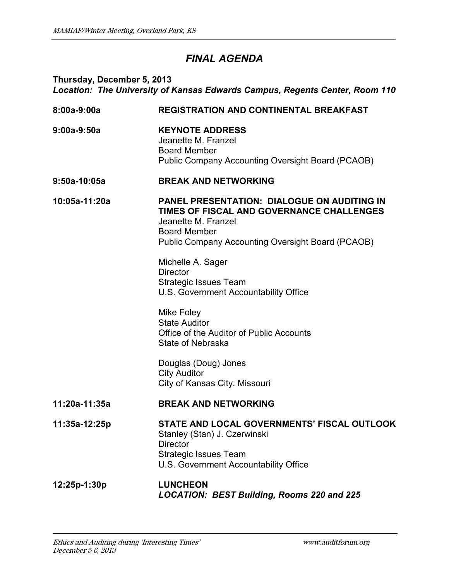## *FINAL AGENDA*

## **Thursday, December 5, 2013** *Location: The University of Kansas Edwards Campus, Regents Center, Room 110*

| 8:00a-9:00a    | <b>REGISTRATION AND CONTINENTAL BREAKFAST</b>                                                                                                                                                             |
|----------------|-----------------------------------------------------------------------------------------------------------------------------------------------------------------------------------------------------------|
| $9:00a-9:50a$  | <b>KEYNOTE ADDRESS</b><br>Jeanette M. Franzel<br><b>Board Member</b><br><b>Public Company Accounting Oversight Board (PCAOB)</b>                                                                          |
| $9:50a-10:05a$ | <b>BREAK AND NETWORKING</b>                                                                                                                                                                               |
| 10:05a-11:20a  | <b>PANEL PRESENTATION: DIALOGUE ON AUDITING IN</b><br>TIMES OF FISCAL AND GOVERNANCE CHALLENGES<br>Jeanette M. Franzel<br><b>Board Member</b><br><b>Public Company Accounting Oversight Board (PCAOB)</b> |
|                | Michelle A. Sager<br><b>Director</b><br><b>Strategic Issues Team</b><br>U.S. Government Accountability Office                                                                                             |
|                | <b>Mike Foley</b><br><b>State Auditor</b><br>Office of the Auditor of Public Accounts<br><b>State of Nebraska</b>                                                                                         |
|                | Douglas (Doug) Jones<br><b>City Auditor</b><br>City of Kansas City, Missouri                                                                                                                              |
| 11:20a-11:35a  | <b>BREAK AND NETWORKING</b>                                                                                                                                                                               |
| 11:35a-12:25p  | STATE AND LOCAL GOVERNMENTS' FISCAL OUTLOOK<br>Stanley (Stan) J. Czerwinski<br><b>Director</b><br><b>Strategic Issues Team</b><br>U.S. Government Accountability Office                                   |
| 12:25p-1:30p   | <b>LUNCHEON</b><br><b>LOCATION: BEST Building, Rooms 220 and 225</b>                                                                                                                                      |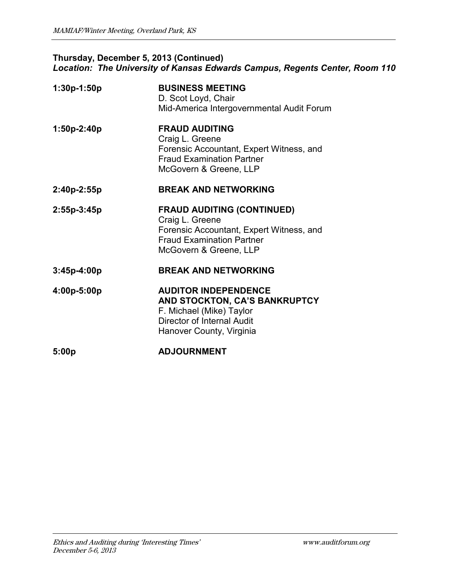## **Thursday, December 5, 2013 (Continued)** *Location: The University of Kansas Edwards Campus, Regents Center, Room 110*

| 1:30p-1:50p   | <b>BUSINESS MEETING</b><br>D. Scot Loyd, Chair<br>Mid-America Intergovernmental Audit Forum                                                                    |
|---------------|----------------------------------------------------------------------------------------------------------------------------------------------------------------|
| 1:50p-2:40p   | <b>FRAUD AUDITING</b><br>Craig L. Greene<br>Forensic Accountant, Expert Witness, and<br><b>Fraud Examination Partner</b><br>McGovern & Greene, LLP             |
| 2:40p-2:55p   | <b>BREAK AND NETWORKING</b>                                                                                                                                    |
| 2:55p-3:45p   | <b>FRAUD AUDITING (CONTINUED)</b><br>Craig L. Greene<br>Forensic Accountant, Expert Witness, and<br><b>Fraud Examination Partner</b><br>McGovern & Greene, LLP |
| $3:45p-4:00p$ | <b>BREAK AND NETWORKING</b>                                                                                                                                    |
| 4:00p-5:00p   | <b>AUDITOR INDEPENDENCE</b><br>AND STOCKTON, CA'S BANKRUPTCY<br>F. Michael (Mike) Taylor<br>Director of Internal Audit<br>Hanover County, Virginia             |
| 5:00p         | <b>ADJOURNMENT</b>                                                                                                                                             |